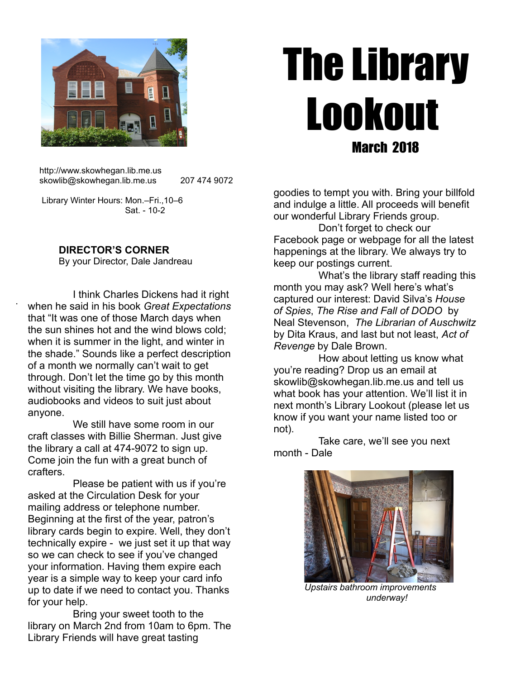

# The Library Lookout March 2018

 http://www.skowhegan.lib.me.us skowlib@skowhegan.lib.me.us 207 474 9072

 Library Winter Hours: Mon.–Fri.,10–6 Sat. - 10-2

# **DIRECTOR'S CORNER**

.

By your Director, Dale Jandreau

 I think Charles Dickens had it right when he said in his book *Great Expectations* that "It was one of those March days when the sun shines hot and the wind blows cold; when it is summer in the light, and winter in the shade." Sounds like a perfect description of a month we normally can't wait to get through. Don't let the time go by this month without visiting the library. We have books, audiobooks and videos to suit just about anyone.

 We still have some room in our craft classes with Billie Sherman. Just give the library a call at 474-9072 to sign up. Come join the fun with a great bunch of crafters.

 Please be patient with us if you're asked at the Circulation Desk for your mailing address or telephone number. Beginning at the first of the year, patron's library cards begin to expire. Well, they don't technically expire - we just set it up that way so we can check to see if you've changed your information. Having them expire each year is a simple way to keep your card info up to date if we need to contact you. Thanks for your help.

 Bring your sweet tooth to the library on March 2nd from 10am to 6pm. The Library Friends will have great tasting

goodies to tempt you with. Bring your billfold and indulge a little. All proceeds will benefit our wonderful Library Friends group.

 Don't forget to check our Facebook page or webpage for all the latest happenings at the library. We always try to keep our postings current.

 What's the library staff reading this month you may ask? Well here's what's captured our interest: David Silva's *House of Spies*, *The Rise and Fall of DODO* by Neal Stevenson, *The Librarian of Auschwitz* by Dita Kraus, and last but not least, *Act of Revenge* by Dale Brown.

 How about letting us know what you're reading? Drop us an email at skowlib@skowhegan.lib.me.us and tell us what book has your attention. We'll list it in next month's Library Lookout (please let us know if you want your name listed too or not).

 Take care, we'll see you next month - Dale



*Upstairs bathroom improvements underway!*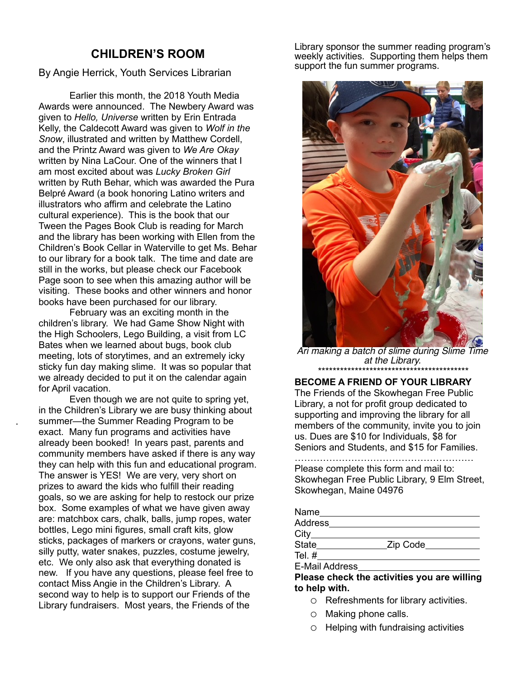# **CHILDREN'S ROOM**

By Angie Herrick, Youth Services Librarian

Earlier this month, the 2018 Youth Media Awards were announced. The Newbery Award was given to *Hello, Universe* written by Erin Entrada Kelly, the Caldecott Award was given to *Wolf in the Snow*, illustrated and written by Matthew Cordell, and the Printz Award was given to *We Are Okay* written by Nina LaCour. One of the winners that I am most excited about was *Lucky Broken Girl*  written by Ruth Behar, which was awarded the Pura Belpré Award (a book honoring Latino writers and illustrators who affirm and celebrate the Latino cultural experience). This is the book that our Tween the Pages Book Club is reading for March and the library has been working with Ellen from the Children's Book Cellar in Waterville to get Ms. Behar to our library for a book talk. The time and date are still in the works, but please check our Facebook Page soon to see when this amazing author will be visiting. These books and other winners and honor books have been purchased for our library.

February was an exciting month in the children's library. We had Game Show Night with the High Schoolers, Lego Building, a visit from LC Bates when we learned about bugs, book club meeting, lots of storytimes, and an extremely icky sticky fun day making slime. It was so popular that we already decided to put it on the calendar again for April vacation.

.

Even though we are not quite to spring yet, in the Children's Library we are busy thinking about summer—the Summer Reading Program to be exact. Many fun programs and activities have already been booked! In years past, parents and community members have asked if there is any way they can help with this fun and educational program. The answer is YES! We are very, very short on prizes to award the kids who fulfill their reading goals, so we are asking for help to restock our prize box. Some examples of what we have given away are: matchbox cars, chalk, balls, jump ropes, water bottles, Lego mini figures, small craft kits, glow sticks, packages of markers or crayons, water guns, silly putty, water snakes, puzzles, costume jewelry, etc. We only also ask that everything donated is new. If you have any questions, please feel free to contact Miss Angie in the Children's Library. A second way to help is to support our Friends of the Library fundraisers. Most years, the Friends of the

Library sponsor the summer reading program's weekly activities. Supporting them helps them support the fun summer programs.



Ari making a batch of slime during Slime Time at the Library. *\*\*\*\*\*\*\*\*\*\*\*\*\*\*\*\*\*\*\*\*\*\*\*\*\*\*\*\*\*\*\*\*\*\*\*\*\*\*\*\*\**

**BECOME A FRIEND OF YOUR LIBRARY** The Friends of the Skowhegan Free Public Library, a not for profit group dedicated to supporting and improving the library for all members of the community, invite you to join us. Dues are \$10 for Individuals, \$8 for Seniors and Students, and \$15 for Families.

………………………………………………… Please complete this form and mail to: Skowhegan Free Public Library, 9 Elm Street, Skowhegan, Maine 04976

| Name           |            |
|----------------|------------|
| <b>Address</b> |            |
| $City_$        |            |
| State          | _Zip Code_ |
| Tel. $#$       |            |
| E-Mail Address |            |

**Please check the activities you are willing to help with.**

- o Refreshments for library activities.
- o Making phone calls.
- o Helping with fundraising activities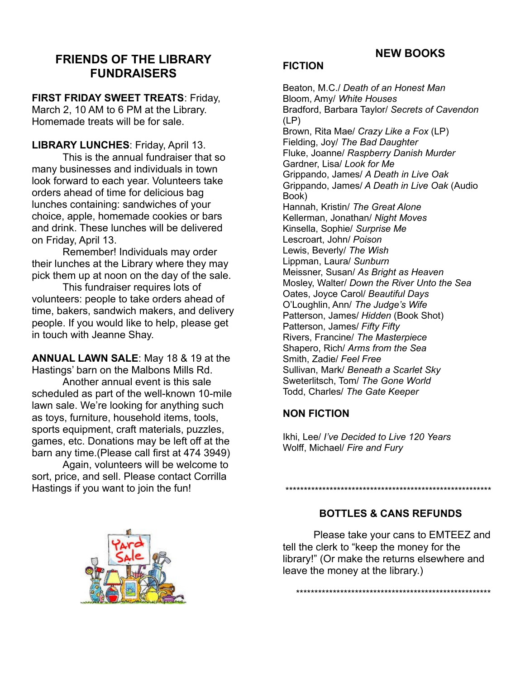# **NEW BOOKS**

# **FRIENDS OF THE LIBRARY FUNDRAISERS**

# **FIRST FRIDAY SWEET TREATS**: Friday,

March 2, 10 AM to 6 PM at the Library. Homemade treats will be for sale.

### **LIBRARY LUNCHES**: Friday, April 13.

This is the annual fundraiser that so many businesses and individuals in town look forward to each year. Volunteers take orders ahead of time for delicious bag lunches containing: sandwiches of your choice, apple, homemade cookies or bars and drink. These lunches will be delivered on Friday, April 13.

Remember! Individuals may order their lunches at the Library where they may pick them up at noon on the day of the sale.

This fundraiser requires lots of volunteers: people to take orders ahead of time, bakers, sandwich makers, and delivery people. If you would like to help, please get in touch with Jeanne Shay.

**ANNUAL LAWN SALE**: May 18 & 19 at the Hastings' barn on the Malbons Mills Rd.

Another annual event is this sale scheduled as part of the well-known 10-mile lawn sale. We're looking for anything such as toys, furniture, household items, tools, sports equipment, craft materials, puzzles, games, etc. Donations may be left off at the barn any time.(Please call first at 474 3949)

Again, volunteers will be welcome to sort, price, and sell. Please contact Corrilla Hastings if you want to join the fun!

# **FICTION**

Beaton, M.C./ *Death of an Honest Man* Bloom, Amy/ *White Houses* Bradford, Barbara Taylor/ *Secrets of Cavendon*  (LP) Brown, Rita Mae/ *Crazy Like a Fox* (LP) Fielding, Joy/ *The Bad Daughter* Fluke, Joanne/ *Raspberry Danish Murder* Gardner, Lisa/ *Look for Me* Grippando, James/ *A Death in Live Oak* Grippando, James/ *A Death in Live Oak* (Audio Book) Hannah, Kristin/ *The Great Alone* Kellerman, Jonathan/ *Night Moves* Kinsella, Sophie/ *Surprise Me* Lescroart, John/ *Poison* Lewis, Beverly/ *The Wish* Lippman, Laura/ *Sunburn* Meissner, Susan/ *As Bright as Heaven* Mosley, Walter/ *Down the River Unto the Sea* Oates, Joyce Carol/ *Beautiful Days* O'Loughlin, Ann/ *The Judge's Wife* Patterson, James/ *Hidden* (Book Shot) Patterson, James/ *Fifty Fifty* Rivers, Francine/ *The Masterpiece* Shapero, Rich/ *Arms from the Sea* Smith, Zadie/ *Feel Free* Sullivan, Mark/ *Beneath a Scarlet Sky* Sweterlitsch, Tom/ *The Gone World* Todd, Charles/ *The Gate Keeper*

# **NON FICTION**

Ikhi, Lee/ *I've Decided to Live 120 Years* Wolff, Michael/ *Fire and Fury*

# **BOTTLES & CANS REFUNDS**

\*\*\*\*\*\*\*\*\*\*\*\*\*\*\*\*\*\*\*\*\*\*\*\*\*\*\*\*\*\*\*\*\*\*\*\*\*\*\*\*\*\*\*\*\*\*\*\*\*\*\*\*\*\*\*\*

Please take your cans to EMTEEZ and tell the clerk to "keep the money for the library!" (Or make the returns elsewhere and leave the money at the library.)

\*\*\*\*\*\*\*\*\*\*\*\*\*\*\*\*\*\*\*\*\*\*\*\*\*\*\*\*\*\*\*\*\*\*\*\*\*\*\*\*\*\*\*\*\*\*\*\*\*\*\*\*\*